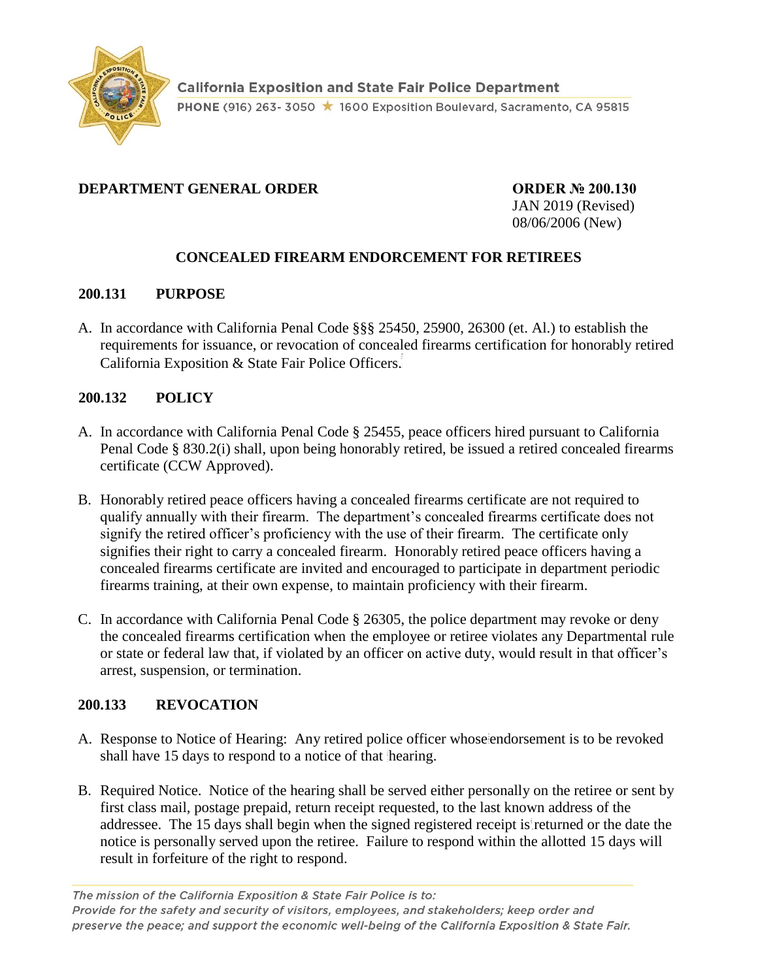

# **DEPARTMENT GENERAL ORDER ORDER № 200.130**

JAN 2019 (Revised) 08/06/2006 (New)

# **CONCEALED FIREARM ENDORCEMENT FOR RETIREES**

#### **200.131 PURPOSE**

A. In accordance with California Penal Code §§§ 25450, 25900, 26300 (et. Al.) to establish the requirements for issuance, or revocation of concealed firearms certification for honorably retired California Exposition & State Fair Police Officers.

### **200.132 POLICY**

- A. In accordance with California Penal Code § 25455, peace officers hired pursuant to California Penal Code § 830.2(i) shall, upon being honorably retired, be issued a retired concealed firearms certificate (CCW Approved).
- B. Honorably retired peace officers having a concealed firearms certificate are not required to qualify annually with their firearm. The department's concealed firearms certificate does not signify the retired officer's proficiency with the use of their firearm. The certificate only signifies their right to carry a concealed firearm. Honorably retired peace officers having a concealed firearms certificate are invited and encouraged to participate in department periodic firearms training, at their own expense, to maintain proficiency with their firearm.
- C. In accordance with California Penal Code § 26305, the police department may revoke or deny the concealed firearms certification when the employee or retiree violates any Departmental rule or state or federal law that, if violated by an officer on active duty, would result in that officer's arrest, suspension, or termination.

### **200.133 REVOCATION**

- A. Response to Notice of Hearing: Any retired police officer whose endorsement is to be revoked shall have 15 days to respond to a notice of that hearing.
- B. Required Notice. Notice of the hearing shall be served either personally on the retiree or sent by first class mail, postage prepaid, return receipt requested, to the last known address of the addressee. The 15 days shall begin when the signed registered receipt is returned or the date the notice is personally served upon the retiree. Failure to respond within the allotted 15 days will result in forfeiture of the right to respond.